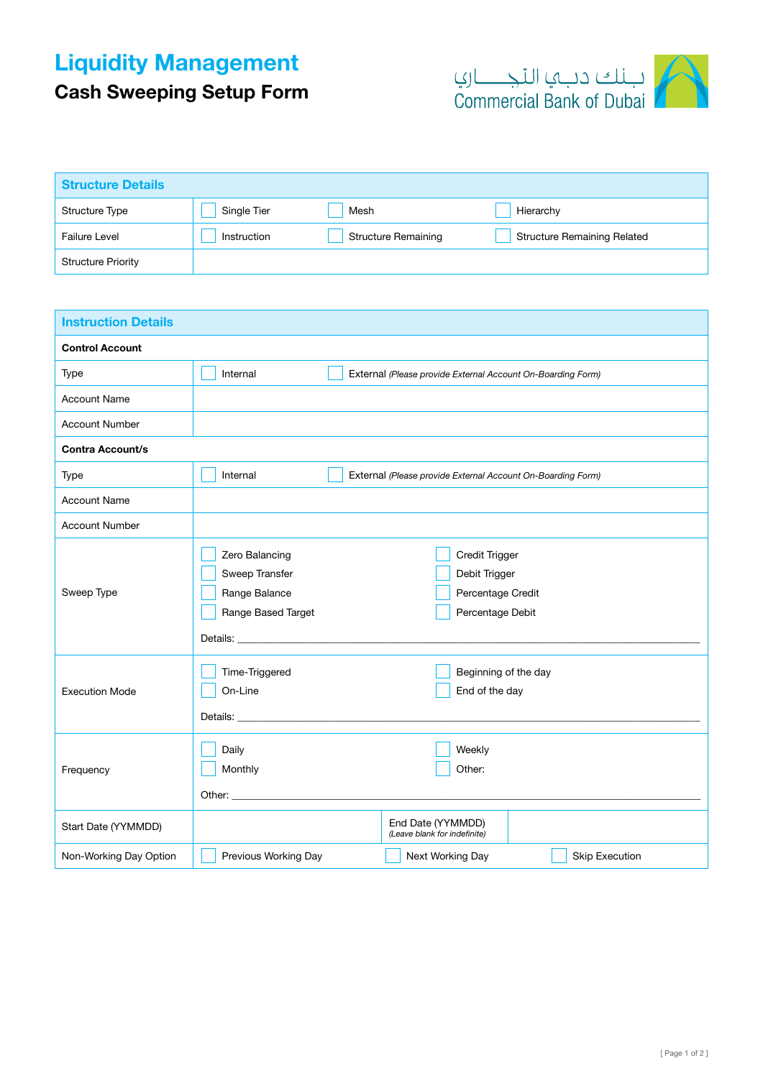## Liquidity Management

Cash Sweeping Setup Form



| <b>Structure Details</b>  |             |                            |                                    |
|---------------------------|-------------|----------------------------|------------------------------------|
| Structure Type            | Single Tier | Mesh                       | Hierarchy                          |
| Failure Level             | Instruction | <b>Structure Remaining</b> | <b>Structure Remaining Related</b> |
| <b>Structure Priority</b> |             |                            |                                    |

| <b>Instruction Details</b> |                                                                                                     |                                                                          |  |  |  |  |
|----------------------------|-----------------------------------------------------------------------------------------------------|--------------------------------------------------------------------------|--|--|--|--|
| <b>Control Account</b>     |                                                                                                     |                                                                          |  |  |  |  |
| Type                       | Internal                                                                                            | External (Please provide External Account On-Boarding Form)              |  |  |  |  |
| <b>Account Name</b>        |                                                                                                     |                                                                          |  |  |  |  |
| <b>Account Number</b>      |                                                                                                     |                                                                          |  |  |  |  |
| <b>Contra Account/s</b>    |                                                                                                     |                                                                          |  |  |  |  |
| Type                       | Internal                                                                                            | External (Please provide External Account On-Boarding Form)              |  |  |  |  |
| <b>Account Name</b>        |                                                                                                     |                                                                          |  |  |  |  |
| <b>Account Number</b>      |                                                                                                     |                                                                          |  |  |  |  |
| Sweep Type                 | Zero Balancing<br>Sweep Transfer<br>Range Balance<br>Range Based Target<br>Details: <u>Details:</u> | Credit Trigger<br>Debit Trigger<br>Percentage Credit<br>Percentage Debit |  |  |  |  |
| <b>Execution Mode</b>      | Time-Triggered<br>On-Line<br>Details: <u>Details:</u>                                               | Beginning of the day<br>End of the day                                   |  |  |  |  |
| Frequency                  | Daily<br>Monthly                                                                                    | Weekly<br>Other:                                                         |  |  |  |  |
| Start Date (YYMMDD)        |                                                                                                     | End Date (YYMMDD)<br>(Leave blank for indefinite)                        |  |  |  |  |
| Non-Working Day Option     | Previous Working Day                                                                                | Next Working Day<br><b>Skip Execution</b>                                |  |  |  |  |